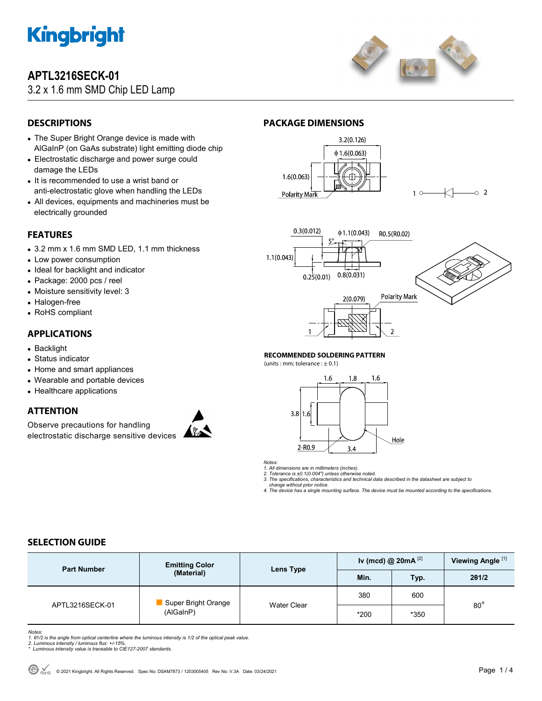

# **APTL3216SECK-01**

# 3.2 x 1.6 mm SMD Chip LED Lamp



# **DESCRIPTIONS**

- The Super Bright Orange device is made with AlGaInP (on GaAs substrate) light emitting diode chip
- Electrostatic discharge and power surge could damage the LEDs
- It is recommended to use a wrist band or anti-electrostatic glove when handling the LEDs
- All devices, equipments and machineries must be electrically grounded

### **FEATURES**

- 3.2 mm x 1.6 mm SMD LED, 1.1 mm thickness
- Low power consumption
- Ideal for backlight and indicator
- Package: 2000 pcs / reel
- Moisture sensitivity level: 3
- Halogen-free
- RoHS compliant

#### **APPLICATIONS**

- Backlight
- Status indicator
- Home and smart appliances
- Wearable and portable devices
- Healthcare applications

#### **ATTENTION**

Observe precautions for handling electrostatic discharge sensitive devices





**PACKAGE DIMENSIONS** 





#### **RECOMMENDED SOLDERING PATTERN**

(units : mm; tolerance :  $\pm$  0.1)



*Notes:* 

- *1. All dimensions are in millimeters (inches).*
- *2. Tolerance is ±0.1(0.004") unless otherwise noted. 3. The specifications, characteristics and technical data described in the datasheet are subject to*

 *change without prior notice.* 

*4. The device has a single mounting surface. The device must be mounted according to the specifications.* 

### **SELECTION GUIDE**

| <b>Part Number</b> | <b>Emitting Color</b><br>(Material) | Lens Type          | Iv (mcd) @ $20mA^{[2]}$ |      | Viewing Angle <sup>[1]</sup> |
|--------------------|-------------------------------------|--------------------|-------------------------|------|------------------------------|
|                    |                                     |                    | Min.                    | Typ. | 201/2                        |
| APTL3216SECK-01    | Super Bright Orange<br>(AlGaInP)    | <b>Water Clear</b> | 380                     | 600  | $80^{\circ}$                 |
|                    |                                     |                    | *200                    | *350 |                              |

Notes:<br>1. 61/2 is the angle from optical centerline where the luminous intensity is 1/2 of the optical peak value.<br>2. Luminous intensity / luminous flux: +/-15%.<br>\* Luminous intensity value is traceable to CIE127-2007 stand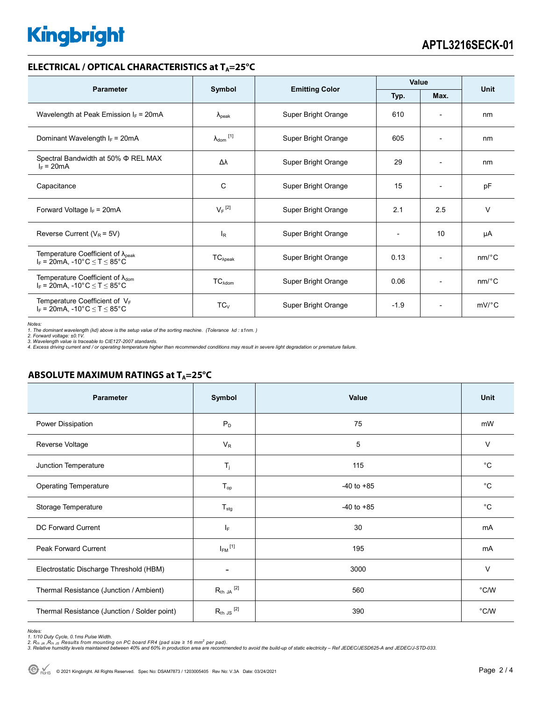# **Kingbright**

#### **ELECTRICAL / OPTICAL CHARACTERISTICS at T<sub>A</sub>=25°C**

| <b>Parameter</b>                                                                            | Symbol                     |                       | Value  |                          | Unit    |
|---------------------------------------------------------------------------------------------|----------------------------|-----------------------|--------|--------------------------|---------|
|                                                                                             |                            | <b>Emitting Color</b> | Typ.   | Max.                     |         |
| Wavelength at Peak Emission $I_F$ = 20mA                                                    | $\lambda_{\rm peak}$       | Super Bright Orange   | 610    |                          | nm      |
| Dominant Wavelength $I_F$ = 20mA                                                            | $\lambda_{\text{dom}}$ [1] | Super Bright Orange   | 605    | $\overline{\phantom{0}}$ | nm      |
| Spectral Bandwidth at 50% $\Phi$ REL MAX<br>$I_F = 20mA$                                    | Δλ                         | Super Bright Orange   | 29     | $\overline{\phantom{0}}$ | nm      |
| Capacitance                                                                                 | C                          | Super Bright Orange   | 15     | $\overline{\phantom{0}}$ | pF      |
| Forward Voltage $I_F$ = 20mA                                                                | $V_F$ <sup>[2]</sup>       | Super Bright Orange   | 2.1    | 2.5                      | $\vee$  |
| Reverse Current ( $V_R$ = 5V)                                                               | l <sub>R</sub>             | Super Bright Orange   |        | 10                       | μA      |
| Temperature Coefficient of $\lambda_{peak}$<br>$I_F = 20$ mA, -10°C $\le T \le 85$ °C       | $TC_{\lambda peak}$        | Super Bright Orange   | 0.13   | $\overline{\phantom{0}}$ | nm/°C   |
| Temperature Coefficient of $\lambda_{\text{dom}}$<br>$I_F = 20$ mA, -10°C $\le T \le 85$ °C | $TC_{\lambda dom}$         | Super Bright Orange   | 0.06   |                          | nm/°C   |
| Temperature Coefficient of $V_F$<br>$I_F = 20$ mA, -10°C $\le T \le 85$ °C                  | $TC_{V}$                   | Super Bright Orange   | $-1.9$ | $\overline{\phantom{a}}$ | $mV$ °C |

*Notes:* 

*1. The dominant wavelength (*λ*d) above is the setup value of the sorting machine. (Tolerance* λ*d : ±1nm. )* 

*2. Forward voltage: ±0.1V. 3. Wavelength value is traceable to CIE127-2007 standards.* 

*4. Excess driving current and / or operating temperature higher than recommended conditions may result in severe light degradation or premature failure.* 

#### **ABSOLUTE MAXIMUM RATINGS at T<sub>A</sub>=25°C**

| <b>Parameter</b>                             | Symbol                  | Value          | Unit        |
|----------------------------------------------|-------------------------|----------------|-------------|
| Power Dissipation                            | $P_D$                   | 75             | mW          |
| Reverse Voltage                              | $V_R$                   | 5              | $\vee$      |
| Junction Temperature                         | $T_j$                   | 115            | $^{\circ}C$ |
| <b>Operating Temperature</b>                 | $T_{op}$                | $-40$ to $+85$ | $^{\circ}C$ |
| Storage Temperature                          | $T_{\text{stg}}$        | $-40$ to $+85$ | $^{\circ}C$ |
| <b>DC Forward Current</b>                    | $I_F$                   | 30             | mA          |
| Peak Forward Current                         | $I_{FM}$ <sup>[1]</sup> | 195            | mA          |
| Electrostatic Discharge Threshold (HBM)      | $\blacksquare$          | 3000           | $\vee$      |
| Thermal Resistance (Junction / Ambient)      | $R_{th}$ JA $^{[2]}$    | 560            | °C/W        |
| Thermal Resistance (Junction / Solder point) | $R_{th}$ JS $^{[2]}$    | 390            | °C/W        |

Notes:<br>1. 1/10 Duty Cycle, 0.1ms Pulse Width.<br>2. R<sub>th JA</sub> ,R<sub>h JS</sub> Results from mounting on PC board FR4 (pad size ≥ 16 mm<sup>2</sup> per pad).<br>3. Relative humidity levels maintained between 40% and 60% in production area are rec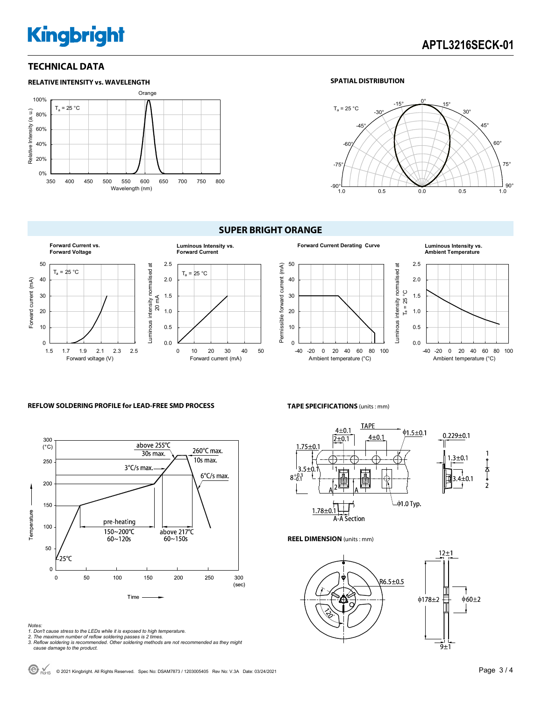# **Kingbright**

### **TECHNICAL DATA**



#### **SPATIAL DISTRIBUTION**



### **SUPER BRIGHT ORANGE**





# **Ambient Temperature**



#### **REFLOW SOLDERING PROFILE for LEAD-FREE SMD PROCESS**



#### **TAPE SPECIFICATIONS** (units : mm)



#### **REEL DIMENSION** (units : mm)



*Notes:* 

- *1. Don't cause stress to the LEDs while it is exposed to high temperature.*
- *2. The maximum number of reflow soldering passes is 2 times. 3. Reflow soldering is recommended. Other soldering methods are not recommended as they might*
- *cause damage to the product.*

C ROHS © 2021 Kingbright. All Rights Reserved. Spec No: DSAM7873 / 1203005405 Rev No: V.3A Date: 03/24/2021 **Page 3 / 4**